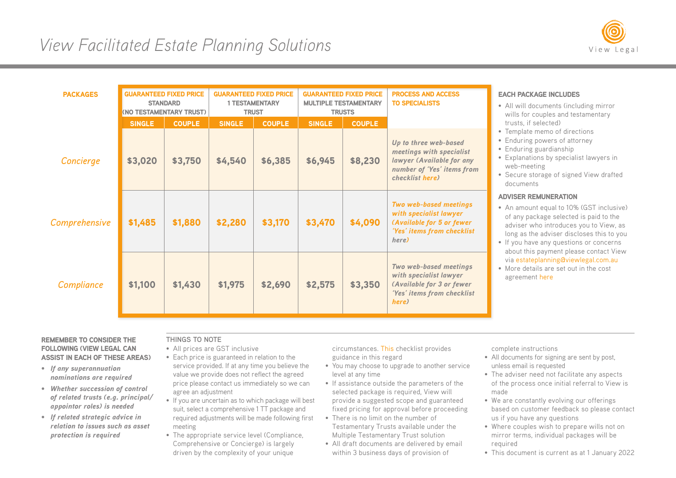

| <b>PACKAGES</b>      | <b>GUARANTEED FIXED PRICE</b><br><b>STANDARD</b><br>(NO TESTAMENTARY TRUST) |               | <b>GUARANTEED FIXED PRICE</b><br><b>1 TESTAMENTARY</b><br><b>TRUST</b> |               | <b>GUARANTEED FIXED PRICE</b><br><b>MULTIPLE TESTAMENTARY</b><br><b>TRUSTS</b> |               | <b>PROCESS AND ACCESS</b><br><b>TO SPECIALISTS</b>                                                                              |
|----------------------|-----------------------------------------------------------------------------|---------------|------------------------------------------------------------------------|---------------|--------------------------------------------------------------------------------|---------------|---------------------------------------------------------------------------------------------------------------------------------|
|                      | <b>SINGLE</b>                                                               | <b>COUPLE</b> | <b>SINGLE</b>                                                          | <b>COUPLE</b> | <b>SINGLE</b>                                                                  | <b>COUPLE</b> |                                                                                                                                 |
| Concierge            | \$3,020                                                                     | \$3,750       | \$4,540                                                                | \$6,385       | \$6,945                                                                        | \$8,230       | Up to three web-based<br>meetings with specialist<br>lawyer (Available for any<br>number of 'Yes' items from<br>checklist here) |
| <b>Comprehensive</b> | \$1,485                                                                     | \$1,880       | \$2,280                                                                | \$3,170       | \$3,470                                                                        | \$4,090       | <b>Two web-based meetings</b><br>with specialist lawyer<br>(Available for 5 or fewer<br>'Yes' items from checklist<br>here)     |
| Compliance           | \$1,100                                                                     | \$1,430       | \$1,975                                                                | \$2,690       | \$2,575                                                                        | \$3,350       | Two web-based meetings<br>with specialist lawyer<br>(Available for 3 or fewer<br>'Yes' items from checklist<br>here)            |

## EACH PACKAGE INCLUDES

- All will documents (including mirror wills for couples and testamentary trusts, if selected)
- Template memo of directions
- Enduring powers of attorney
- Enduring guardianship
- Explanations by specialist lawyers in web-meeting
- Secure storage of signed View drafted documents

## ADVISER REMUNERATION

- An amount equal to 10% (GST inclusive) of any package selected is paid to the adviser who introduces you to View, as long as the adviser discloses this to you
- If you have any questions or concerns about this payment please contact View via [estateplanning@viewlegal.com.au](mailto:estateplanning%40viewlegal.com.au?subject=)
- More details are set out in the cost agreement [here](https://viewlegal.com.au/wp-content/uploads/2021/11/Costs-Agreement-View-referral-fee.pdf)

## REMEMBER TO CONSIDER THE FOLLOWING (VIEW LEGAL CAN ASSIST IN EACH OF THESE AREAS)

- *If any superannuation nominations are required*
- *Whether succession of control of related trusts (e.g. principal/ appointor roles) is needed*
- *If related strategic advice in relation to issues such as asset protection is required*

## **THINGS TO NOTE**

- All prices are GST inclusive
- Each price is guaranteed in relation to the service provided. If at any time you believe the value we provide does not reflect the agreed price please contact us immediately so we can agree an adjustment
- If you are uncertain as to which package will best suit, select a comprehensive 1 TT package and required adjustments will be made following first meeting
- The appropriate service level (Compliance, Comprehensive or Concierge) is largely driven by the complexity of your unique

circumstances. [This](https://viewlegal.com.au/robust-checklist-for-personal-holistic-estate-planning/) checklist provides guidance in this regard

- You may choose to upgrade to another service level at any time
- If assistance outside the parameters of the selected package is required. View will provide a suggested scope and guaranteed fixed pricing for approval before proceeding
- There is no limit on the number of Testamentary Trusts available under the Multiple Testamentary Trust solution
- All draft documents are delivered by email within 3 business days of provision of

complete instructions

- All documents for signing are sent by post, unless email is requested
- The adviser need not facilitate any aspects of the process once initial referral to View is made
- We are constantly evolving our offerings based on customer feedback so please contact us if you have any questions
- Where couples wish to prepare wills not on mirror terms, individual packages will be required
- This document is current as at 1 January 2022